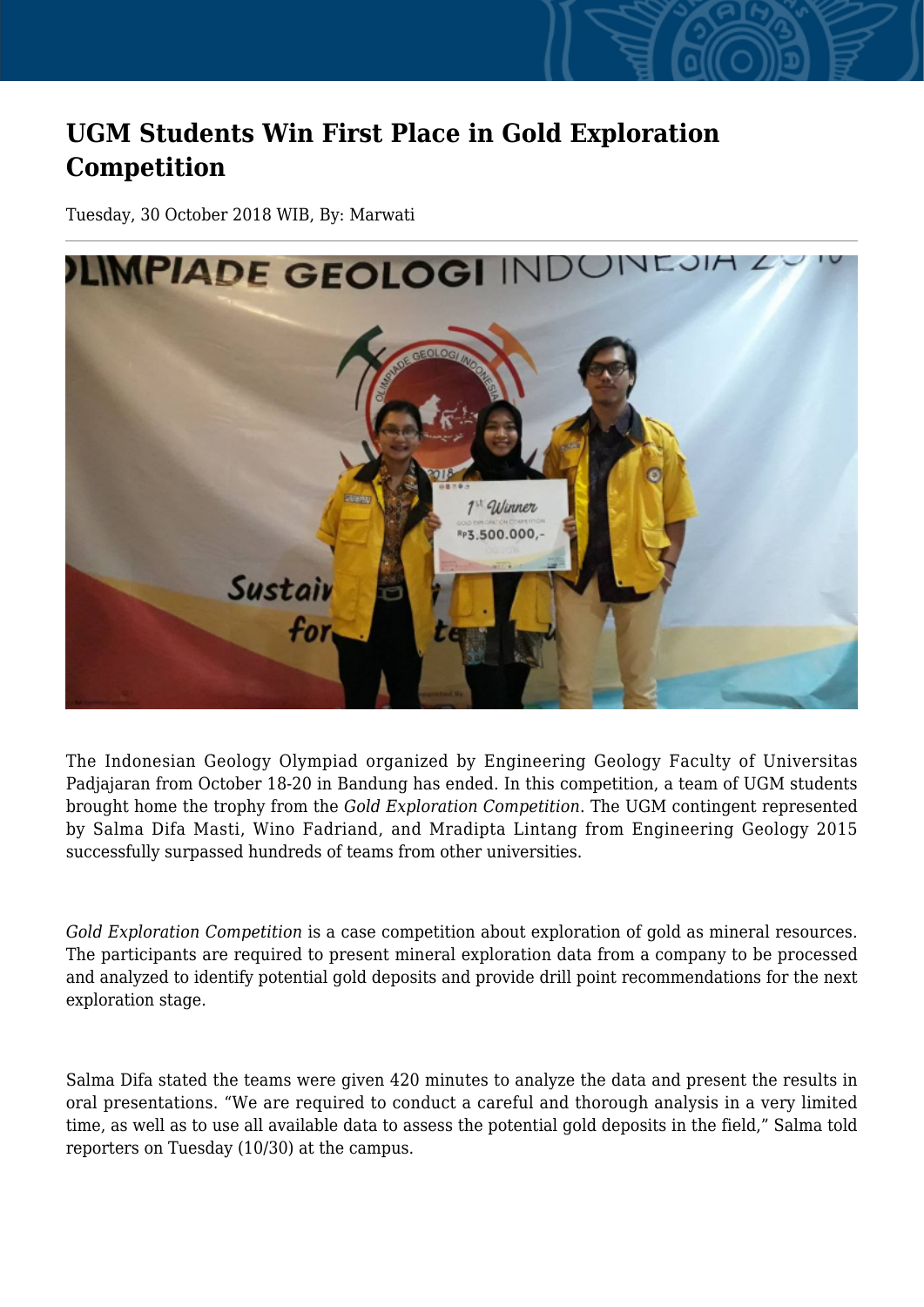## **UGM Students Win First Place in Gold Exploration Competition**

Tuesday, 30 October 2018 WIB, By: Marwati



The Indonesian Geology Olympiad organized by Engineering Geology Faculty of Universitas Padjajaran from October 18-20 in Bandung has ended. In this competition, a team of UGM students brought home the trophy from the *Gold Exploration Competition*. The UGM contingent represented by Salma Difa Masti, Wino Fadriand, and Mradipta Lintang from Engineering Geology 2015 successfully surpassed hundreds of teams from other universities.

*Gold Exploration Competition* is a case competition about exploration of gold as mineral resources. The participants are required to present mineral exploration data from a company to be processed and analyzed to identify potential gold deposits and provide drill point recommendations for the next exploration stage.

Salma Difa stated the teams were given 420 minutes to analyze the data and present the results in oral presentations. "We are required to conduct a careful and thorough analysis in a very limited time, as well as to use all available data to assess the potential gold deposits in the field," Salma told reporters on Tuesday (10/30) at the campus.